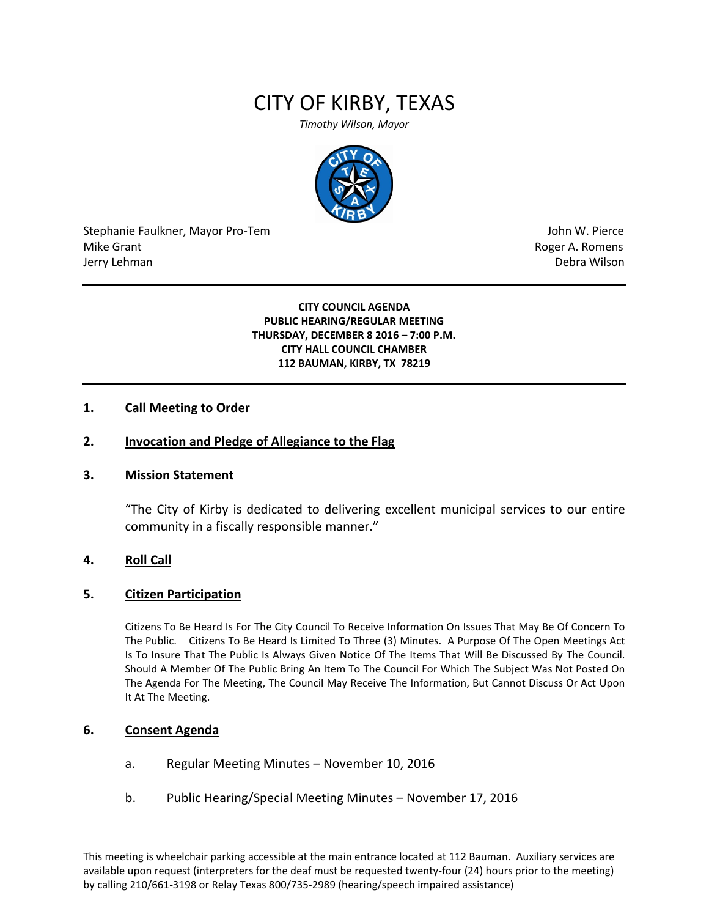# CITY OF KIRBY, TEXAS

*Timothy Wilson, Mayor*



Stephanie Faulkner, Mayor Pro-Tem John W. Pierce Mike Grant **Mike Grant** Roger A. Romens **Contract A. Romens Roger A. Romens** Jerry Lehman Debra Wilson (2008) and the state of the state of the state of the state of the state of the state of the state of the state of the state of the state of the state of the state of the state of the state of the

**CITY COUNCIL AGENDA PUBLIC HEARING/REGULAR MEETING THURSDAY, DECEMBER 8 2016 – 7:00 P.M. CITY HALL COUNCIL CHAMBER 112 BAUMAN, KIRBY, TX 78219**

#### **1. Call Meeting to Order**

## **2. Invocation and Pledge of Allegiance to the Flag**

#### **3. Mission Statement**

"The City of Kirby is dedicated to delivering excellent municipal services to our entire community in a fiscally responsible manner."

#### **4. Roll Call**

#### **5. Citizen Participation**

Citizens To Be Heard Is For The City Council To Receive Information On Issues That May Be Of Concern To The Public. Citizens To Be Heard Is Limited To Three (3) Minutes. A Purpose Of The Open Meetings Act Is To Insure That The Public Is Always Given Notice Of The Items That Will Be Discussed By The Council. Should A Member Of The Public Bring An Item To The Council For Which The Subject Was Not Posted On The Agenda For The Meeting, The Council May Receive The Information, But Cannot Discuss Or Act Upon It At The Meeting.

#### **6. Consent Agenda**

- a. Regular Meeting Minutes November 10, 2016
- b. Public Hearing/Special Meeting Minutes November 17, 2016

This meeting is wheelchair parking accessible at the main entrance located at 112 Bauman. Auxiliary services are available upon request (interpreters for the deaf must be requested twenty-four (24) hours prior to the meeting) by calling 210/661-3198 or Relay Texas 800/735-2989 (hearing/speech impaired assistance)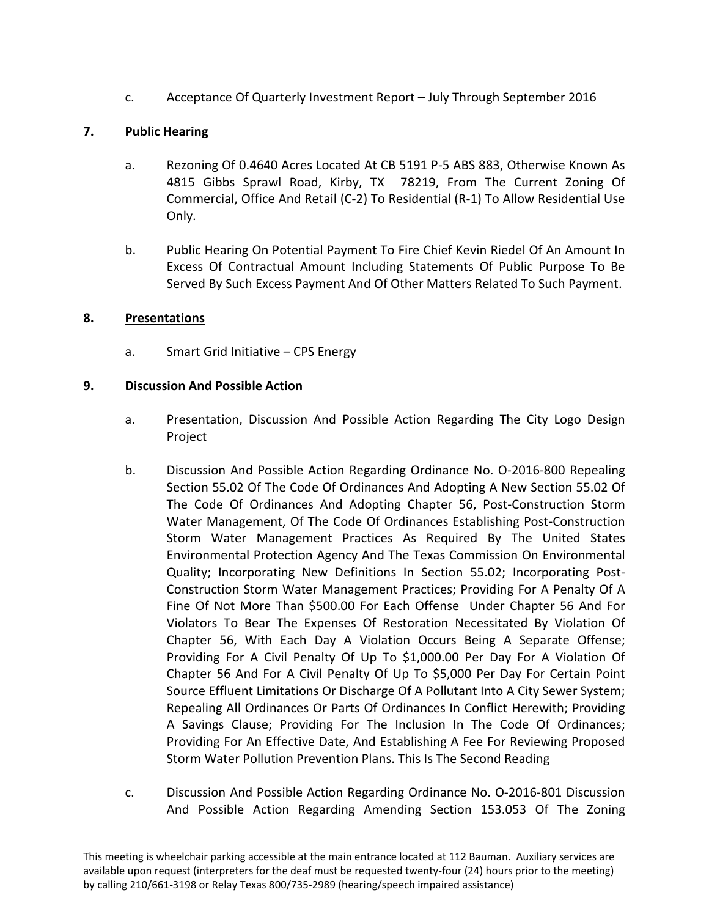c. Acceptance Of Quarterly Investment Report – July Through September 2016

## **7. Public Hearing**

- a. Rezoning Of 0.4640 Acres Located At CB 5191 P-5 ABS 883, Otherwise Known As 4815 Gibbs Sprawl Road, Kirby, TX 78219, From The Current Zoning Of Commercial, Office And Retail (C-2) To Residential (R-1) To Allow Residential Use Only.
- b. Public Hearing On Potential Payment To Fire Chief Kevin Riedel Of An Amount In Excess Of Contractual Amount Including Statements Of Public Purpose To Be Served By Such Excess Payment And Of Other Matters Related To Such Payment.

## **8. Presentations**

a. Smart Grid Initiative – CPS Energy

## **9. Discussion And Possible Action**

- a. Presentation, Discussion And Possible Action Regarding The City Logo Design Project
- b. Discussion And Possible Action Regarding Ordinance No. O-2016-800 Repealing Section 55.02 Of The Code Of Ordinances And Adopting A New Section 55.02 Of The Code Of Ordinances And Adopting Chapter 56, Post-Construction Storm Water Management, Of The Code Of Ordinances Establishing Post-Construction Storm Water Management Practices As Required By The United States Environmental Protection Agency And The Texas Commission On Environmental Quality; Incorporating New Definitions In Section 55.02; Incorporating Post-Construction Storm Water Management Practices; Providing For A Penalty Of A Fine Of Not More Than \$500.00 For Each Offense Under Chapter 56 And For Violators To Bear The Expenses Of Restoration Necessitated By Violation Of Chapter 56, With Each Day A Violation Occurs Being A Separate Offense; Providing For A Civil Penalty Of Up To \$1,000.00 Per Day For A Violation Of Chapter 56 And For A Civil Penalty Of Up To \$5,000 Per Day For Certain Point Source Effluent Limitations Or Discharge Of A Pollutant Into A City Sewer System; Repealing All Ordinances Or Parts Of Ordinances In Conflict Herewith; Providing A Savings Clause; Providing For The Inclusion In The Code Of Ordinances; Providing For An Effective Date, And Establishing A Fee For Reviewing Proposed Storm Water Pollution Prevention Plans. This Is The Second Reading
- c. Discussion And Possible Action Regarding Ordinance No. O-2016-801 Discussion And Possible Action Regarding Amending Section 153.053 Of The Zoning

This meeting is wheelchair parking accessible at the main entrance located at 112 Bauman. Auxiliary services are available upon request (interpreters for the deaf must be requested twenty-four (24) hours prior to the meeting) by calling 210/661-3198 or Relay Texas 800/735-2989 (hearing/speech impaired assistance)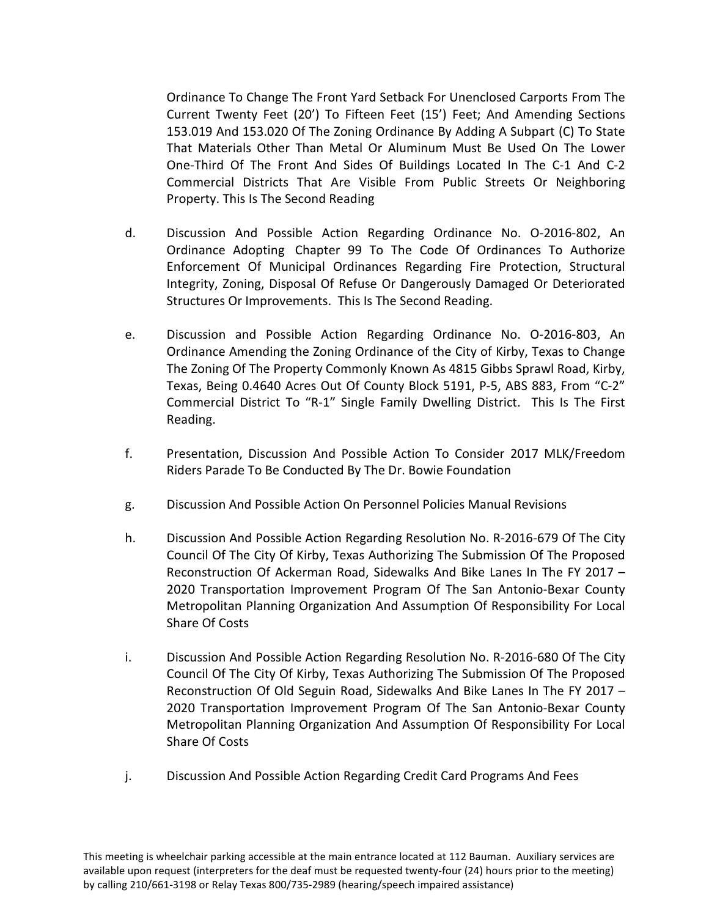Ordinance To Change The Front Yard Setback For Unenclosed Carports From The Current Twenty Feet (20') To Fifteen Feet (15') Feet; And Amending Sections 153.019 And 153.020 Of The Zoning Ordinance By Adding A Subpart (C) To State That Materials Other Than Metal Or Aluminum Must Be Used On The Lower One-Third Of The Front And Sides Of Buildings Located In The C-1 And C-2 Commercial Districts That Are Visible From Public Streets Or Neighboring Property. This Is The Second Reading

- d. Discussion And Possible Action Regarding Ordinance No. O-2016-802, An Ordinance Adopting Chapter 99 To The Code Of Ordinances To Authorize Enforcement Of Municipal Ordinances Regarding Fire Protection, Structural Integrity, Zoning, Disposal Of Refuse Or Dangerously Damaged Or Deteriorated Structures Or Improvements. This Is The Second Reading.
- e. Discussion and Possible Action Regarding Ordinance No. O-2016-803, An Ordinance Amending the Zoning Ordinance of the City of Kirby, Texas to Change The Zoning Of The Property Commonly Known As 4815 Gibbs Sprawl Road, Kirby, Texas, Being 0.4640 Acres Out Of County Block 5191, P-5, ABS 883, From "C-2" Commercial District To "R-1" Single Family Dwelling District. This Is The First Reading.
- f. Presentation, Discussion And Possible Action To Consider 2017 MLK/Freedom Riders Parade To Be Conducted By The Dr. Bowie Foundation
- g. Discussion And Possible Action On Personnel Policies Manual Revisions
- h. Discussion And Possible Action Regarding Resolution No. R-2016-679 Of The City Council Of The City Of Kirby, Texas Authorizing The Submission Of The Proposed Reconstruction Of Ackerman Road, Sidewalks And Bike Lanes In The FY 2017 – 2020 Transportation Improvement Program Of The San Antonio-Bexar County Metropolitan Planning Organization And Assumption Of Responsibility For Local Share Of Costs
- i. Discussion And Possible Action Regarding Resolution No. R-2016-680 Of The City Council Of The City Of Kirby, Texas Authorizing The Submission Of The Proposed Reconstruction Of Old Seguin Road, Sidewalks And Bike Lanes In The FY 2017 – 2020 Transportation Improvement Program Of The San Antonio-Bexar County Metropolitan Planning Organization And Assumption Of Responsibility For Local Share Of Costs
- j. Discussion And Possible Action Regarding Credit Card Programs And Fees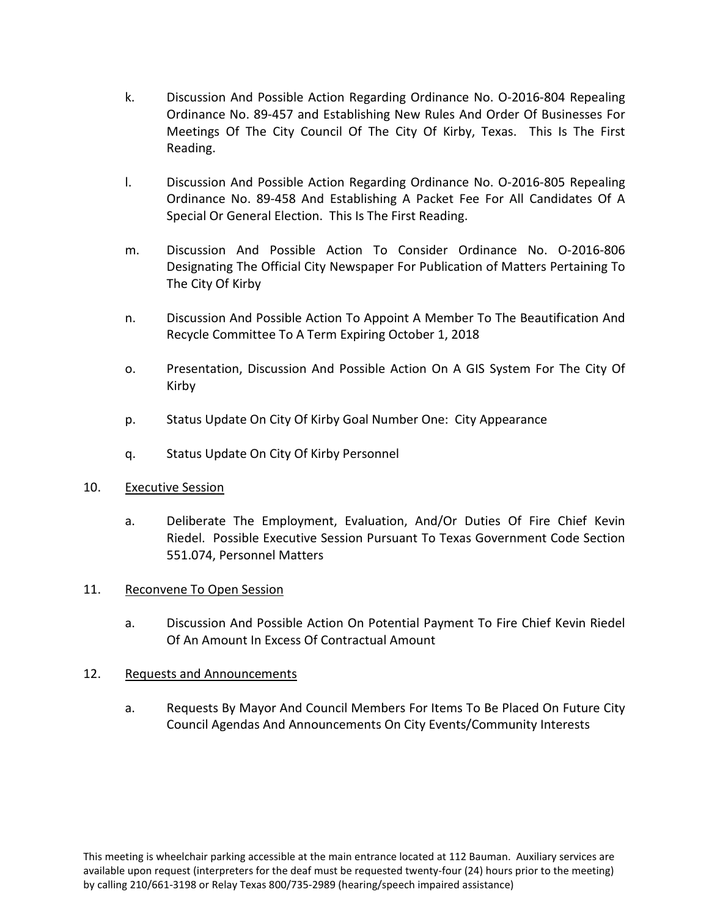- k. Discussion And Possible Action Regarding Ordinance No. O-2016-804 Repealing Ordinance No. 89-457 and Establishing New Rules And Order Of Businesses For Meetings Of The City Council Of The City Of Kirby, Texas. This Is The First Reading.
- l. Discussion And Possible Action Regarding Ordinance No. O-2016-805 Repealing Ordinance No. 89-458 And Establishing A Packet Fee For All Candidates Of A Special Or General Election. This Is The First Reading.
- m. Discussion And Possible Action To Consider Ordinance No. O-2016-806 Designating The Official City Newspaper For Publication of Matters Pertaining To The City Of Kirby
- n. Discussion And Possible Action To Appoint A Member To The Beautification And Recycle Committee To A Term Expiring October 1, 2018
- o. Presentation, Discussion And Possible Action On A GIS System For The City Of Kirby
- p. Status Update On City Of Kirby Goal Number One: City Appearance
- q. Status Update On City Of Kirby Personnel

## 10. Executive Session

a. Deliberate The Employment, Evaluation, And/Or Duties Of Fire Chief Kevin Riedel. Possible Executive Session Pursuant To Texas Government Code Section 551.074, Personnel Matters

## 11. Reconvene To Open Session

a. Discussion And Possible Action On Potential Payment To Fire Chief Kevin Riedel Of An Amount In Excess Of Contractual Amount

## 12. Requests and Announcements

a. Requests By Mayor And Council Members For Items To Be Placed On Future City Council Agendas And Announcements On City Events/Community Interests